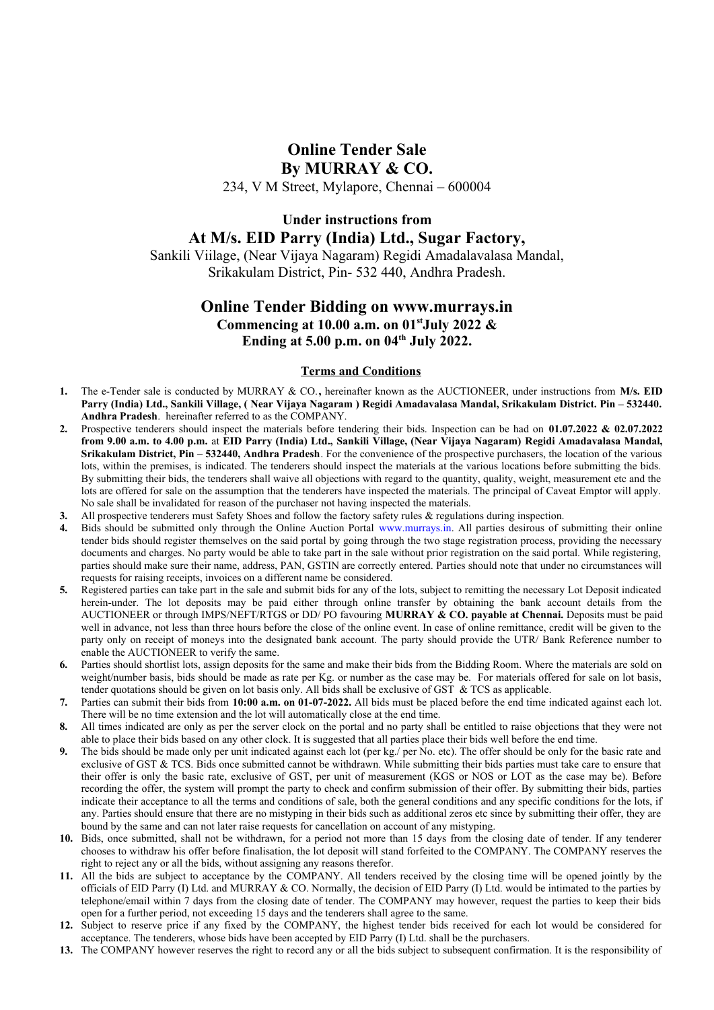# **Online Tender Sale By MURRAY & CO.**

234, V M Street, Mylapore, Chennai – 600004

## **Under instructions from At M/s. EID Parry (India) Ltd., Sugar Factory,**

Sankili Viilage, (Near Vijaya Nagaram) Regidi Amadalavalasa Mandal, Srikakulam District, Pin- 532 440, Andhra Pradesh.

## **Online Tender Bidding on www.murrays.in Commencing at 10.00 a.m. on 01stJuly 2022 & Ending at 5.00 p.m. on 04th July 2022.**

#### **Terms and Conditions**

- **1.** The e-Tender sale is conducted by MURRAY & CO.**,** hereinafter known as the AUCTIONEER, under instructions from **M/s. EID Parry (India) Ltd., Sankili Village, ( Near Vijaya Nagaram ) Regidi Amadavalasa Mandal, Srikakulam District. Pin – 532440. Andhra Pradesh**. hereinafter referred to as the COMPANY.
- **2.** Prospective tenderers should inspect the materials before tendering their bids. Inspection can be had on **01.07.2022 & 02.07.2022 from 9.00 a.m. to 4.00 p.m.** at **EID Parry (India) Ltd., Sankili Village, (Near Vijaya Nagaram) Regidi Amadavalasa Mandal, Srikakulam District, Pin – 532440, Andhra Pradesh**. For the convenience of the prospective purchasers, the location of the various lots, within the premises, is indicated. The tenderers should inspect the materials at the various locations before submitting the bids. By submitting their bids, the tenderers shall waive all objections with regard to the quantity, quality, weight, measurement etc and the lots are offered for sale on the assumption that the tenderers have inspected the materials. The principal of Caveat Emptor will apply. No sale shall be invalidated for reason of the purchaser not having inspected the materials.
- **3.** All prospective tenderers must Safety Shoes and follow the factory safety rules & regulations during inspection.
- **4.** Bids should be submitted only through the Online Auction Portal [www.murrays.in](http://www.murrays.in/). All parties desirous of submitting their online tender bids should register themselves on the said portal by going through the two stage registration process, providing the necessary documents and charges. No party would be able to take part in the sale without prior registration on the said portal. While registering, parties should make sure their name, address, PAN, GSTIN are correctly entered. Parties should note that under no circumstances will requests for raising receipts, invoices on a different name be considered.
- **5.** Registered parties can take part in the sale and submit bids for any of the lots, subject to remitting the necessary Lot Deposit indicated herein-under. The lot deposits may be paid either through online transfer by obtaining the bank account details from the AUCTIONEER or through IMPS/NEFT/RTGS or DD/ PO favouring **MURRAY & CO. payable at Chennai.** Deposits must be paid well in advance, not less than three hours before the close of the online event. In case of online remittance, credit will be given to the party only on receipt of moneys into the designated bank account. The party should provide the UTR/ Bank Reference number to enable the AUCTIONEER to verify the same.
- **6.** Parties should shortlist lots, assign deposits for the same and make their bids from the Bidding Room. Where the materials are sold on weight/number basis, bids should be made as rate per Kg. or number as the case may be. For materials offered for sale on lot basis, tender quotations should be given on lot basis only. All bids shall be exclusive of GST & TCS as applicable.
- **7.** Parties can submit their bids from **10:00 a.m. on 01-07-2022.** All bids must be placed before the end time indicated against each lot. There will be no time extension and the lot will automatically close at the end time.
- **8.** All times indicated are only as per the server clock on the portal and no party shall be entitled to raise objections that they were not able to place their bids based on any other clock. It is suggested that all parties place their bids well before the end time.
- **9.** The bids should be made only per unit indicated against each lot (per kg./ per No. etc). The offer should be only for the basic rate and exclusive of GST & TCS. Bids once submitted cannot be withdrawn. While submitting their bids parties must take care to ensure that their offer is only the basic rate, exclusive of GST, per unit of measurement (KGS or NOS or LOT as the case may be). Before recording the offer, the system will prompt the party to check and confirm submission of their offer. By submitting their bids, parties indicate their acceptance to all the terms and conditions of sale, both the general conditions and any specific conditions for the lots, if any. Parties should ensure that there are no mistyping in their bids such as additional zeros etc since by submitting their offer, they are bound by the same and can not later raise requests for cancellation on account of any mistyping.
- **10.** Bids, once submitted, shall not be withdrawn, for a period not more than 15 days from the closing date of tender. If any tenderer chooses to withdraw his offer before finalisation, the lot deposit will stand forfeited to the COMPANY. The COMPANY reserves the right to reject any or all the bids, without assigning any reasons therefor.
- **11.** All the bids are subject to acceptance by the COMPANY. All tenders received by the closing time will be opened jointly by the officials of EID Parry (I) Ltd. and MURRAY & CO. Normally, the decision of EID Parry (I) Ltd. would be intimated to the parties by telephone/email within 7 days from the closing date of tender. The COMPANY may however, request the parties to keep their bids open for a further period, not exceeding 15 days and the tenderers shall agree to the same.
- **12.** Subject to reserve price if any fixed by the COMPANY, the highest tender bids received for each lot would be considered for acceptance. The tenderers, whose bids have been accepted by EID Parry (I) Ltd. shall be the purchasers.
- **13.** The COMPANY however reserves the right to record any or all the bids subject to subsequent confirmation. It is the responsibility of